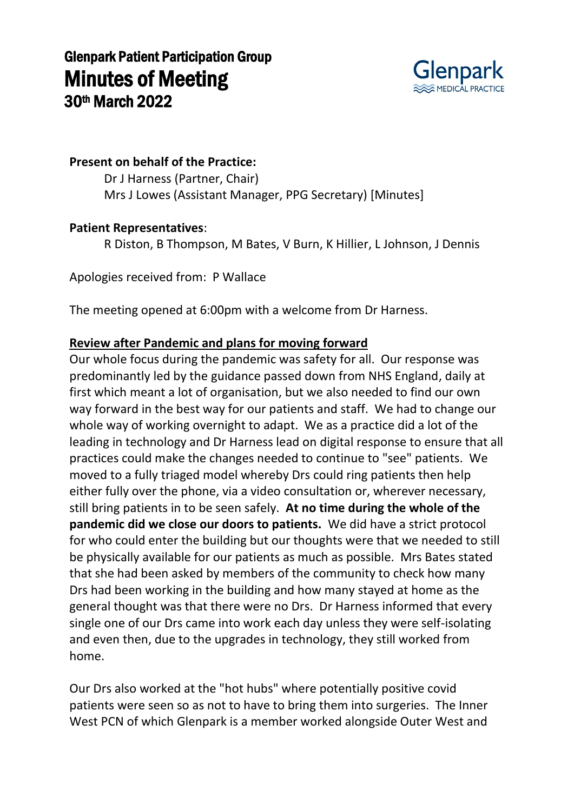

### **Present on behalf of the Practice:**

Dr J Harness (Partner, Chair) Mrs J Lowes (Assistant Manager, PPG Secretary) [Minutes]

#### **Patient Representatives**:

R Diston, B Thompson, M Bates, V Burn, K Hillier, L Johnson, J Dennis

Apologies received from: P Wallace

The meeting opened at 6:00pm with a welcome from Dr Harness.

### **Review after Pandemic and plans for moving forward**

Our whole focus during the pandemic was safety for all. Our response was predominantly led by the guidance passed down from NHS England, daily at first which meant a lot of organisation, but we also needed to find our own way forward in the best way for our patients and staff. We had to change our whole way of working overnight to adapt. We as a practice did a lot of the leading in technology and Dr Harness lead on digital response to ensure that all practices could make the changes needed to continue to "see" patients. We moved to a fully triaged model whereby Drs could ring patients then help either fully over the phone, via a video consultation or, wherever necessary, still bring patients in to be seen safely. **At no time during the whole of the pandemic did we close our doors to patients.** We did have a strict protocol for who could enter the building but our thoughts were that we needed to still be physically available for our patients as much as possible. Mrs Bates stated that she had been asked by members of the community to check how many Drs had been working in the building and how many stayed at home as the general thought was that there were no Drs. Dr Harness informed that every single one of our Drs came into work each day unless they were self-isolating and even then, due to the upgrades in technology, they still worked from home.

Our Drs also worked at the "hot hubs" where potentially positive covid patients were seen so as not to have to bring them into surgeries. The Inner West PCN of which Glenpark is a member worked alongside Outer West and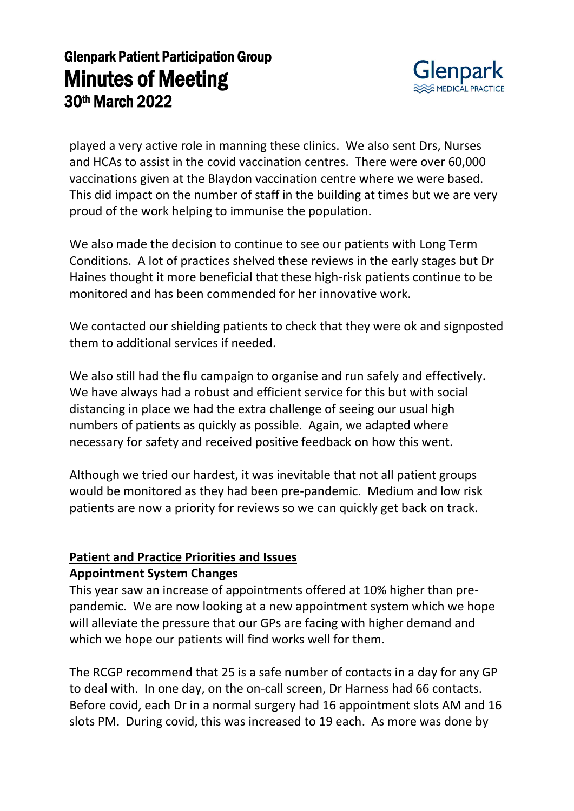

played a very active role in manning these clinics. We also sent Drs, Nurses and HCAs to assist in the covid vaccination centres. There were over 60,000 vaccinations given at the Blaydon vaccination centre where we were based. This did impact on the number of staff in the building at times but we are very proud of the work helping to immunise the population.

We also made the decision to continue to see our patients with Long Term Conditions. A lot of practices shelved these reviews in the early stages but Dr Haines thought it more beneficial that these high-risk patients continue to be monitored and has been commended for her innovative work.

We contacted our shielding patients to check that they were ok and signposted them to additional services if needed.

We also still had the flu campaign to organise and run safely and effectively. We have always had a robust and efficient service for this but with social distancing in place we had the extra challenge of seeing our usual high numbers of patients as quickly as possible. Again, we adapted where necessary for safety and received positive feedback on how this went.

Although we tried our hardest, it was inevitable that not all patient groups would be monitored as they had been pre-pandemic. Medium and low risk patients are now a priority for reviews so we can quickly get back on track.

### **Patient and Practice Priorities and Issues Appointment System Changes**

This year saw an increase of appointments offered at 10% higher than prepandemic. We are now looking at a new appointment system which we hope will alleviate the pressure that our GPs are facing with higher demand and which we hope our patients will find works well for them.

The RCGP recommend that 25 is a safe number of contacts in a day for any GP to deal with. In one day, on the on-call screen, Dr Harness had 66 contacts. Before covid, each Dr in a normal surgery had 16 appointment slots AM and 16 slots PM. During covid, this was increased to 19 each. As more was done by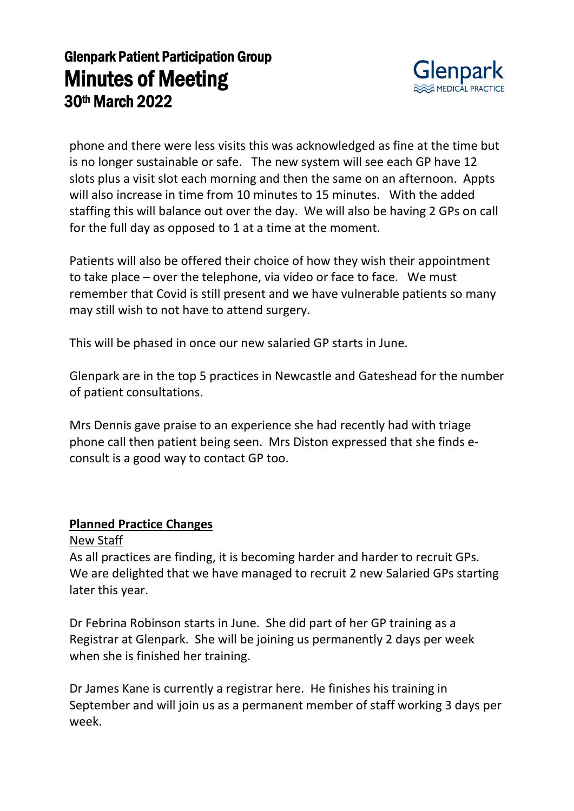

phone and there were less visits this was acknowledged as fine at the time but is no longer sustainable or safe. The new system will see each GP have 12 slots plus a visit slot each morning and then the same on an afternoon. Appts will also increase in time from 10 minutes to 15 minutes. With the added staffing this will balance out over the day. We will also be having 2 GPs on call for the full day as opposed to 1 at a time at the moment.

Patients will also be offered their choice of how they wish their appointment to take place – over the telephone, via video or face to face. We must remember that Covid is still present and we have vulnerable patients so many may still wish to not have to attend surgery.

This will be phased in once our new salaried GP starts in June.

Glenpark are in the top 5 practices in Newcastle and Gateshead for the number of patient consultations.

Mrs Dennis gave praise to an experience she had recently had with triage phone call then patient being seen. Mrs Diston expressed that she finds econsult is a good way to contact GP too.

#### **Planned Practice Changes**

#### New Staff

As all practices are finding, it is becoming harder and harder to recruit GPs. We are delighted that we have managed to recruit 2 new Salaried GPs starting later this year.

Dr Febrina Robinson starts in June. She did part of her GP training as a Registrar at Glenpark. She will be joining us permanently 2 days per week when she is finished her training.

Dr James Kane is currently a registrar here. He finishes his training in September and will join us as a permanent member of staff working 3 days per week.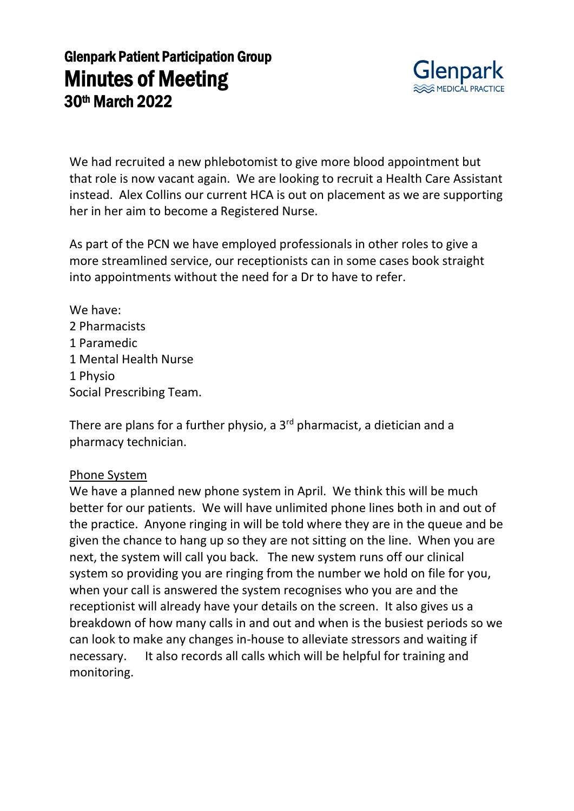

We had recruited a new phlebotomist to give more blood appointment but that role is now vacant again. We are looking to recruit a Health Care Assistant instead. Alex Collins our current HCA is out on placement as we are supporting her in her aim to become a Registered Nurse.

As part of the PCN we have employed professionals in other roles to give a more streamlined service, our receptionists can in some cases book straight into appointments without the need for a Dr to have to refer.

We have: 2 Pharmacists 1 Paramedic 1 Mental Health Nurse 1 Physio Social Prescribing Team.

There are plans for a further physio, a  $3<sup>rd</sup>$  pharmacist, a dietician and a pharmacy technician.

#### Phone System

We have a planned new phone system in April. We think this will be much better for our patients. We will have unlimited phone lines both in and out of the practice. Anyone ringing in will be told where they are in the queue and be given the chance to hang up so they are not sitting on the line. When you are next, the system will call you back. The new system runs off our clinical system so providing you are ringing from the number we hold on file for you, when your call is answered the system recognises who you are and the receptionist will already have your details on the screen. It also gives us a breakdown of how many calls in and out and when is the busiest periods so we can look to make any changes in-house to alleviate stressors and waiting if necessary. It also records all calls which will be helpful for training and monitoring.